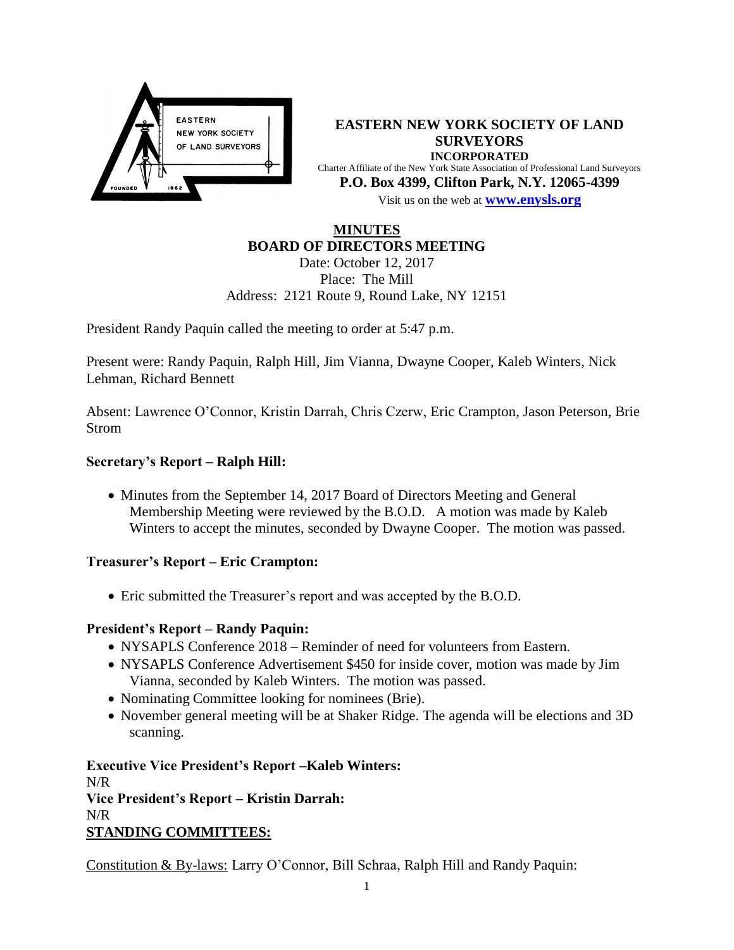

**EASTERN NEW YORK SOCIETY OF LAND SURVEYORS INCORPORATED** Charter Affiliate of the New York State Association of Professional Land Surveyors **P.O. Box 4399, Clifton Park, N.Y. 12065-4399** Visit us on the web at **[www.e](http://www.enysls.org/)nysls.org**

# **MINUTES BOARD OF DIRECTORS MEETING**

Date: October 12, 2017 Place: The Mill Address: 2121 Route 9, Round Lake, NY 12151

President Randy Paquin called the meeting to order at 5:47 p.m.

Present were: Randy Paquin, Ralph Hill, Jim Vianna, Dwayne Cooper, Kaleb Winters, Nick Lehman, Richard Bennett

Absent: Lawrence O'Connor, Kristin Darrah, Chris Czerw, Eric Crampton, Jason Peterson, Brie Strom

# **Secretary's Report – Ralph Hill:**

• Minutes from the September 14, 2017 Board of Directors Meeting and General Membership Meeting were reviewed by the B.O.D. A motion was made by Kaleb Winters to accept the minutes, seconded by Dwayne Cooper. The motion was passed.

## **Treasurer's Report – Eric Crampton:**

Eric submitted the Treasurer's report and was accepted by the B.O.D.

## **President's Report – Randy Paquin:**

- NYSAPLS Conference 2018 Reminder of need for volunteers from Eastern.
- NYSAPLS Conference Advertisement \$450 for inside cover, motion was made by Jim Vianna, seconded by Kaleb Winters. The motion was passed.
- Nominating Committee looking for nominees (Brie).
- November general meeting will be at Shaker Ridge. The agenda will be elections and 3D scanning.

**Executive Vice President's Report –Kaleb Winters:** N/R **Vice President's Report – Kristin Darrah:**  N/R **STANDING COMMITTEES:**

Constitution & By-laws: Larry O'Connor, Bill Schraa, Ralph Hill and Randy Paquin: